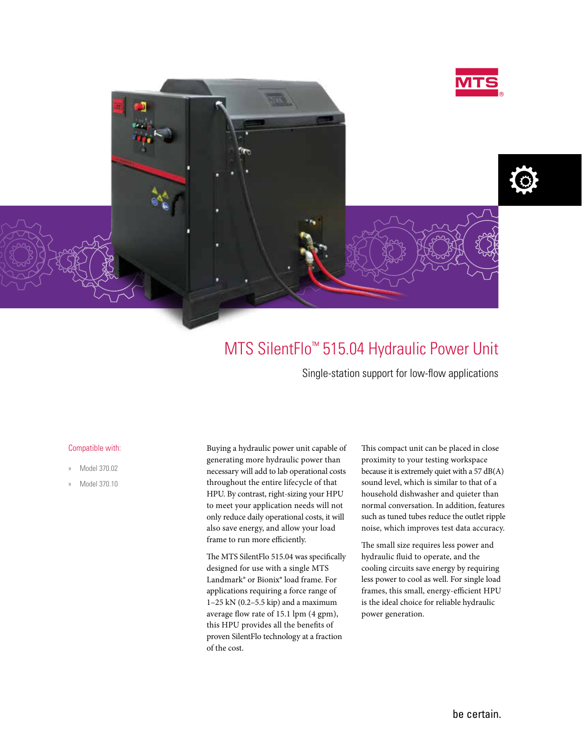



## MTS SilentFlo™ 515.04 Hydraulic Power Unit

Single-station support for low-flow applications

## Compatible with:

- » Model 370.02
- » Model 370.10

Buying a hydraulic power unit capable of generating more hydraulic power than necessary will add to lab operational costs throughout the entire lifecycle of that HPU. By contrast, right-sizing your HPU to meet your application needs will not only reduce daily operational costs, it will also save energy, and allow your load frame to run more efficiently.

The MTS SilentFlo 515.04 was specifically designed for use with a single MTS Landmark® or Bionix® load frame. For applications requiring a force range of 1–25 kN (0.2–5.5 kip) and a maximum average flow rate of 15.1 lpm (4 gpm), this HPU provides all the benefits of proven SilentFlo technology at a fraction of the cost.

This compact unit can be placed in close proximity to your testing workspace because it is extremely quiet with a 57 dB(A) sound level, which is similar to that of a household dishwasher and quieter than normal conversation. In addition, features such as tuned tubes reduce the outlet ripple noise, which improves test data accuracy.

The small size requires less power and hydraulic fluid to operate, and the cooling circuits save energy by requiring less power to cool as well. For single load frames, this small, energy-efficient HPU is the ideal choice for reliable hydraulic power generation.